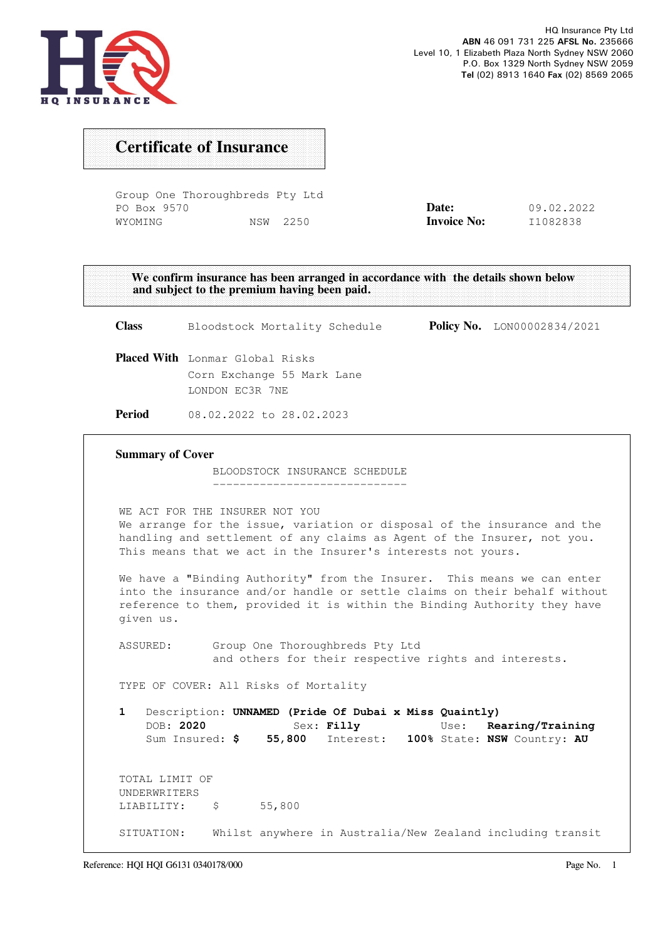

## Certificate of Insurance

Group One Thoroughbreds Pty Ltd PO Box 9570 WYOMING NSW 2250

| Date:              | 09.02.2022 |
|--------------------|------------|
| <b>Invoice No:</b> | I1082838   |

We confirm insurance has been arranged in accordance with the details shown below and subject to the premium having been paid.

Class Bloodstock Mortality Schedule Policy No. LON00002834/2021 Placed With Lonmar Global Risks Corn Exchange 55 Mark Lane LONDON EC3R 7NE Period 08.02.2022 to 28.02.2023 Summary of Cover BLOODSTOCK INSURANCE SCHEDULE ----------------------------- WE ACT FOR THE INSURER NOT YOU We arrange for the issue, variation or disposal of the insurance and the handling and settlement of any claims as Agent of the Insurer, not you. This means that we act in the Insurer's interests not yours. We have a "Binding Authority" from the Insurer. This means we can enter into the insurance and/or handle or settle claims on their behalf without reference to them, provided it is within the Binding Authority they have given us. ASSURED: Group One Thoroughbreds Pty Ltd and others for their respective rights and interests. TYPE OF COVER: All Risks of Mortality 1 Description: UNNAMED (Pride Of Dubai x Miss Quaintly) DOB: 2020 Sex: Filly Use: Rearing/Training Sum Insured: \$ 55,800 Interest: 100% State: NSW Country: AU TOTAL LIMIT OF UNDERWRITERS LIABILITY: \$ 55,800 SITUATION: Whilst anywhere in Australia/New Zealand including transit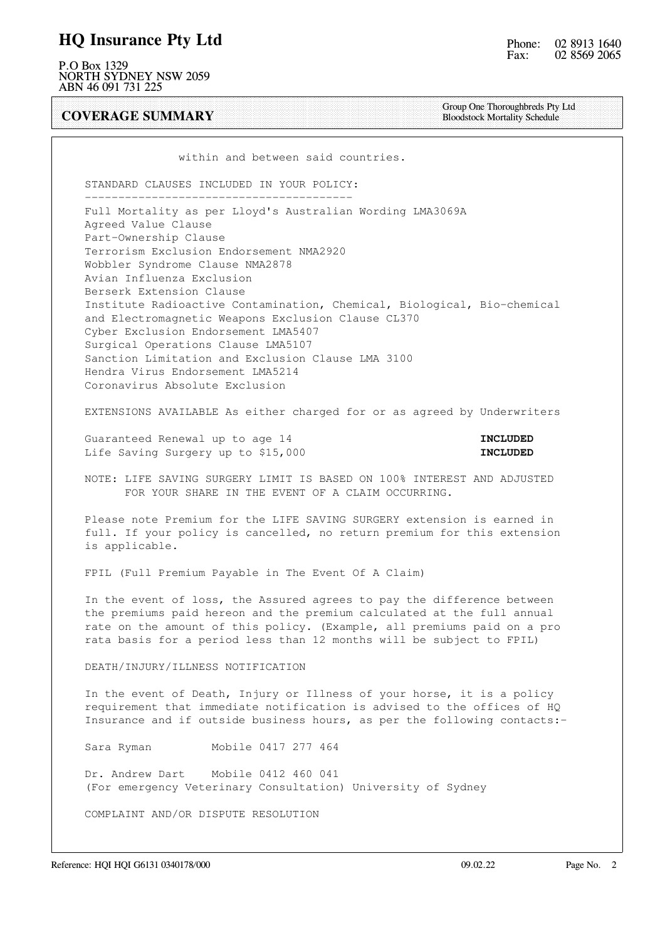### HQ Insurance Pty Ltd

P.O Box 1329 NORTH SYDNEY NSW 2059 ABN 46 091 731 225

COVERAGE SUMMARY

Group One Thoroughbreds Pty Ltd Bloodstock Mortality Schedule

within and between said countries.

STANDARD CLAUSES INCLUDED IN YOUR POLICY:

 ---------------------------------------- Full Mortality as per Lloyd's Australian Wording LMA3069A Agreed Value Clause Part-Ownership Clause Terrorism Exclusion Endorsement NMA2920 Wobbler Syndrome Clause NMA2878 Avian Influenza Exclusion Berserk Extension Clause Institute Radioactive Contamination, Chemical, Biological, Bio-chemical and Electromagnetic Weapons Exclusion Clause CL370 Cyber Exclusion Endorsement LMA5407 Surgical Operations Clause LMA5107 Sanction Limitation and Exclusion Clause LMA 3100 Hendra Virus Endorsement LMA5214 Coronavirus Absolute Exclusion

EXTENSIONS AVAILABLE As either charged for or as agreed by Underwriters

Guaranteed Renewal up to age 14 **INCLUDED** Life Saving Surgery up to \$15,000 **INCLUDED** 

 NOTE: LIFE SAVING SURGERY LIMIT IS BASED ON 100% INTEREST AND ADJUSTED FOR YOUR SHARE IN THE EVENT OF A CLAIM OCCURRING.

 Please note Premium for the LIFE SAVING SURGERY extension is earned in full. If your policy is cancelled, no return premium for this extension is applicable.

FPIL (Full Premium Payable in The Event Of A Claim)

 In the event of loss, the Assured agrees to pay the difference between the premiums paid hereon and the premium calculated at the full annual rate on the amount of this policy. (Example, all premiums paid on a pro rata basis for a period less than 12 months will be subject to FPIL)

DEATH/INJURY/ILLNESS NOTIFICATION

 In the event of Death, Injury or Illness of your horse, it is a policy requirement that immediate notification is advised to the offices of HQ Insurance and if outside business hours, as per the following contacts:-

Sara Ryman Mobile 0417 277 464

 Dr. Andrew Dart Mobile 0412 460 041 (For emergency Veterinary Consultation) University of Sydney

COMPLAINT AND/OR DISPUTE RESOLUTION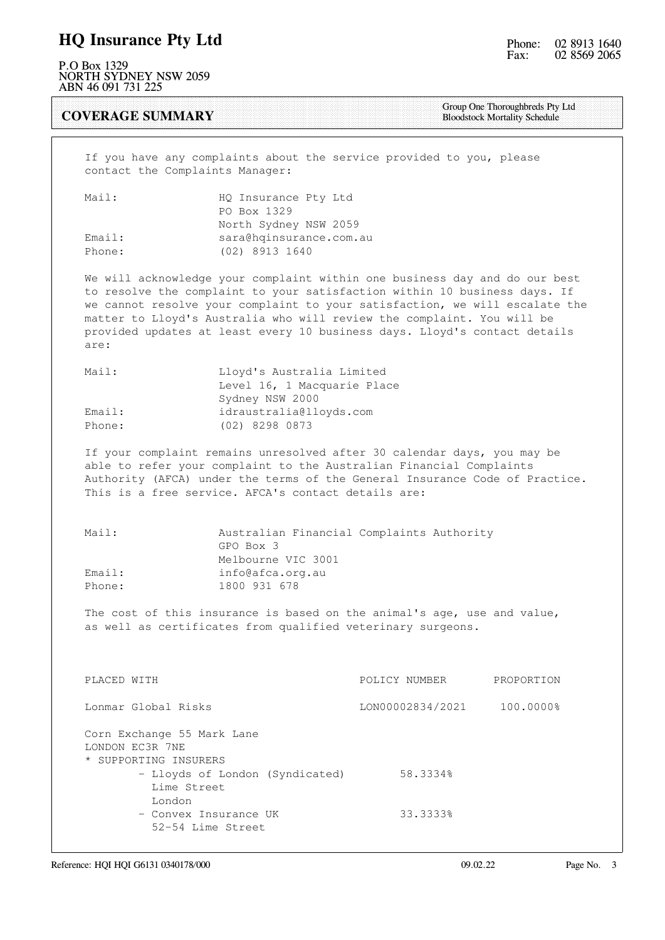### HQ Insurance Pty Ltd

P.O Box 1329 NORTH SYDNEY NSW 2059 ABN 46 091 731 225

#### COVERAGE SUMMARY

Group One Thoroughbreds Pty Ltd Bloodstock Mortality Schedule

 If you have any complaints about the service provided to you, please contact the Complaints Manager:

| Mail:  | HQ Insurance Pty Ltd    |
|--------|-------------------------|
|        | PO Box 1329             |
|        | North Sydney NSW 2059   |
| Email: | sara@hqinsurance.com.au |
| Phone: | (02) 8913 1640          |

 We will acknowledge your complaint within one business day and do our best to resolve the complaint to your satisfaction within 10 business days. If we cannot resolve your complaint to your satisfaction, we will escalate the matter to Lloyd's Australia who will review the complaint. You will be provided updates at least every 10 business days. Lloyd's contact details are:

| Mail:  | Lloyd's Australia Limited   |
|--------|-----------------------------|
|        | Level 16, 1 Macquarie Place |
|        | Sydney NSW 2000             |
| Email: | idraustralia@lloyds.com     |
| Phone: | (02) 8298 0873              |

 If your complaint remains unresolved after 30 calendar days, you may be able to refer your complaint to the Australian Financial Complaints Authority (AFCA) under the terms of the General Insurance Code of Practice. This is a free service. AFCA's contact details are:

| Mail:  | Australian Financial Complaints Authority |
|--------|-------------------------------------------|
|        | GPO Box 3                                 |
|        | Melbourne VIC 3001                        |
| Email: | info@afca.org.au                          |
| Phone: | 1800 931 678                              |

 The cost of this insurance is based on the animal's age, use and value, as well as certificates from qualified veterinary surgeons.

| PLACED WITH                                                            | POLICY NUMBER    | PROPORTION |
|------------------------------------------------------------------------|------------------|------------|
| Lonmar Global Risks                                                    | LON00002834/2021 | 100.0000%  |
| Corn Exchange 55 Mark Lane<br>LONDON EC3R 7NE<br>* SUPPORTING INSURERS |                  |            |
| - Lloyds of London (Syndicated)                                        | 58.3334%         |            |
| Lime Street                                                            |                  |            |
| London<br>- Convex Insurance UK                                        | 33.3333%         |            |
| 52-54 Lime Street                                                      |                  |            |